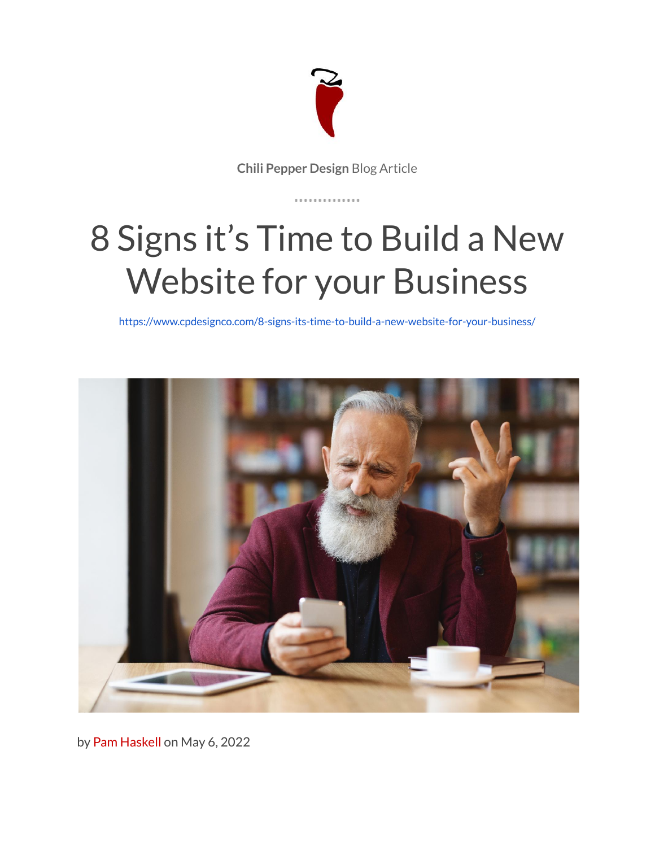

**Chili Pepper Design** Blog Article

. . . . . . . . . . . . . .

# 8 Signs it's Time to Build a New Website for your Business

<https://www.cpdesignco.com/8-signs-its-time-to-build-a-new-website-for-your-business/>



by Pam Haskell on May 6, 2022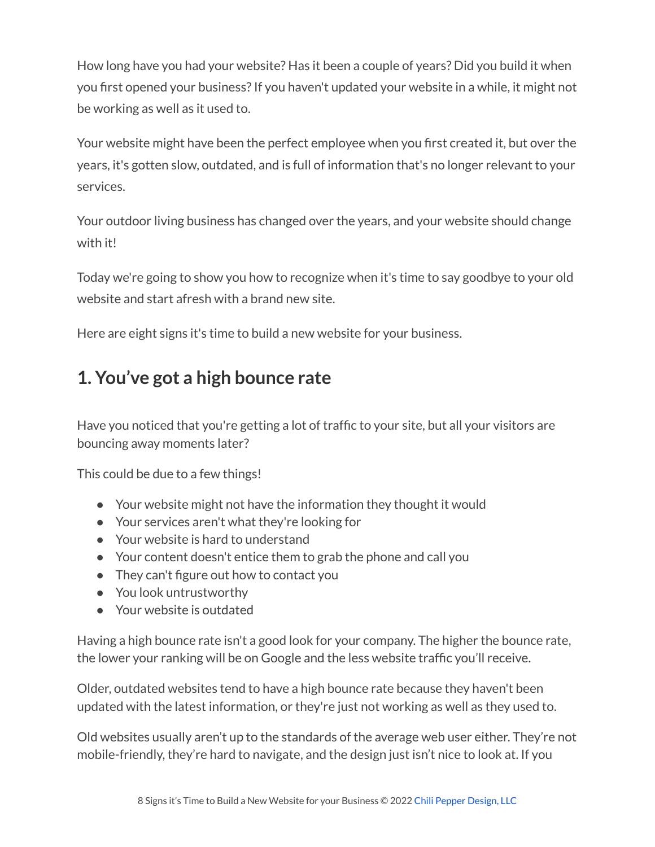How long have you had your website? Has it been a couple of years? Did you build it when you first opened your business?If you haven't updated your website in a while, it might not be working as well as it used to.

Your website might have been the perfect employee when you first created it, but over the years, it's gotten slow, outdated, and is full of information that's no longer relevant to your services.

Your outdoor living business has changed over the years, and your website should change with it!

Today we're going to show you how to recognize when it's time to say goodbye to your old website and start afresh with a brand new site.

Here are eight signs it's time to build a new website for your business.

#### **1. You've got a high bounce rate**

Have you noticed that you're getting a lot of traffic to your site, but all your visitors are bouncing away moments later?

This could be due to a few things!

- Your website might not have the information they thought it would
- Your services aren't what they're looking for
- Your website is hard to understand
- Your content doesn't entice them to grab the phone and call you
- They can't figure out how to contact you
- You look untrustworthy
- Your website is outdated

Having a high bounce rate isn't a good look for your company. The higher the bounce rate, the lower your ranking will be on Google and the less website traffic you'll receive.

Older, outdated websites tend to have a high bounce rate because they haven't been updated with the latest information, or they're just not working as well as they used to.

Old websites usually aren't up to the standards of the average web user either. They're not mobile-friendly, they're hard to navigate, and the design just isn't nice to look at. If you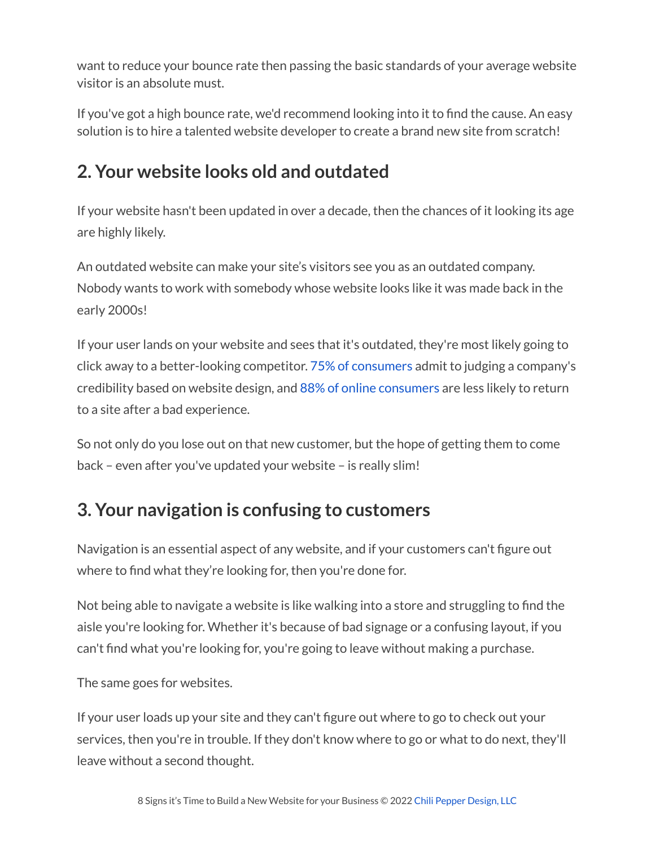want to reduce your bounce rate then passing the basic standards of your average website visitor is an absolute must.

If you've got a high bounce rate, we'd recommend looking into it to find the cause. An easy solution is to hire a talented website developer to create a brand new site from scratch!

#### **2. Your website looks old and outdated**

If your website hasn't been updated in over a decade, then the chances of it looking its age are highly likely.

An outdated website can make your site's visitors see you as an outdated company. Nobody wants to work with somebody whose website looks like it was made back in the early 2000s!

If your user lands on your website and sees that it's outdated, they're most likely going to click away to a better-looking competitor. 75% of [consumers](https://www.kinesisinc.com/the-truth-about-web-design/) admit to judging a company's credibility based on website design, and 88% of online [consumers](https://www.invisionapp.com/inside-design/statistics-on-user-experience/) are less likely to return to a site after a bad experience.

So not only do you lose out on that new customer, but the hope of getting them to come back – even after you've updated your website – is really slim!

#### **3. Your navigation is confusing to customers**

Navigation is an essential aspect of any website, and if your customers can't figure out where to find what they're looking for, then you're done for.

Not being able to navigate a website is like walking into a store and struggling to find the aisle you're looking for. Whether it's because of bad signage or a confusing layout, if you can't find what you're looking for, you're going to leave without making a purchase.

The same goes for websites.

If your user loads up your site and they can't figure out where to go to check out your services, then you're in trouble. If they don't know where to go or what to do next, they'll leave without a second thought.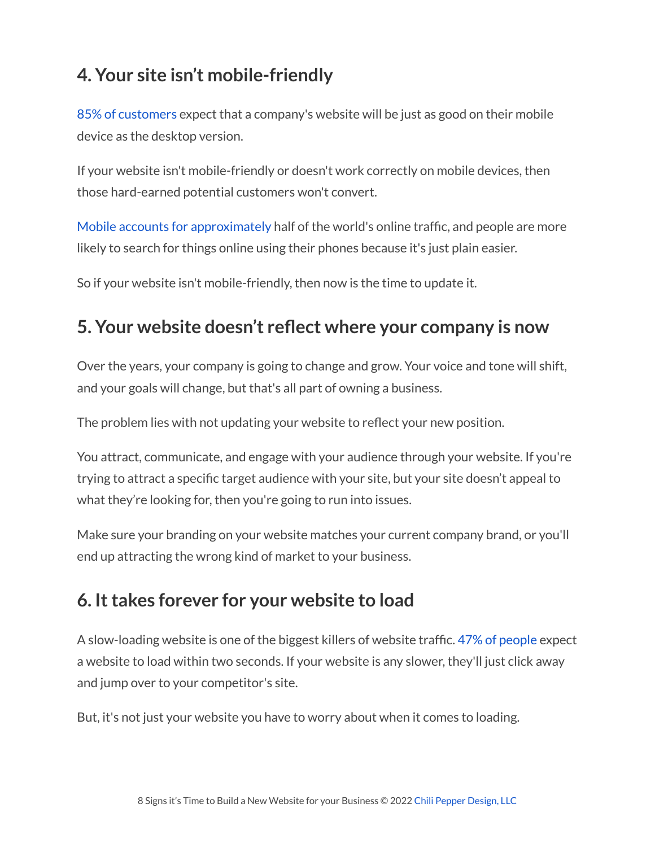#### **4. Your site isn't mobile-friendly**

85% of [customers](https://www.invisionapp.com/inside-design/statistics-on-user-experience/) expect that a company's website will be just as good on their mobile device as the desktop version.

If your website isn't mobile-friendly or doesn't work correctly on mobile devices, then those hard-earned potential customers won't convert.

Mobile accounts for [approximately](https://www.statista.com/statistics/277125/share-of-website-traffic-coming-from-mobile-devices/) half of the world's online traffic, and people are more likely to search for things online using their phones because it's just plain easier.

So if your website isn't mobile-friendly, then now is the time to update it.

#### **5. Your website doesn't reflect where your company is now**

Over the years, your company is going to change and grow. Your voice and tone will shift, and your goals will change, but that's all part of owning a business.

The problem lies with not updating your website to reflect your new position.

You attract, communicate, and engage with your audience through your website. If you're trying to attract a specific target audience with your site, but your site doesn't appeal to what they're looking for, then you're going to run into issues.

Make sure your branding on your website matches your current company brand, or you'll end up attracting the wrong kind of market to your business.

#### **6. Ittakes forever for your website to load**

A slow-loading website is one of the biggest killers of website traffic. 47% of [people](https://curatti.com/web-design-usability/) expect a website to load within two seconds. If your website is any slower, they'll just click away and jump over to your competitor's site.

But, it's not just your website you have to worry about when it comes to loading.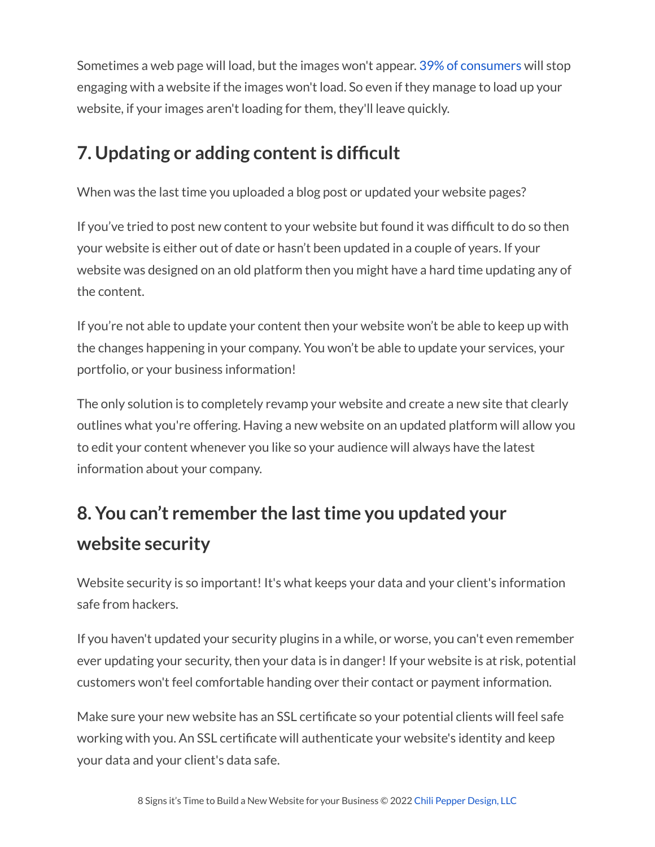Sometimes a web page will load, but the images won't appear. 39% of [consumers](https://blog.hubspot.com/marketing/compelling-stats-website-design-optimization-list) will stop engaging with a website if the images won't load. So even if they manage to load up your website, if your images aren't loading for them, they'll leave quickly.

### **7. Updating or adding contentis difficult**

When was the last time you uploaded a blog post or updated your website pages?

If you've tried to post new content to your website but found it was difficult to do so then your website is either out of date or hasn't been updated in a couple of years. If your website was designed on an old platform then you might have a hard time updating any of the content.

If you're not able to update your content then your website won't be able to keep up with the changes happening in your company. You won't be able to update your services, your portfolio, or your business information!

The only solution is to completely revamp your website and create a new site that clearly outlines what you're offering. Having a new website on an updated platform will allow you to edit your content whenever you like so your audience will always have the latest information about your company.

## **8. You can't remember the lasttime you updated your website security**

Website security is so important! It's what keeps your data and your client's information safe from hackers.

If you haven't updated your security plugins in a while, or worse, you can't even remember ever updating your security, then your data is in danger! If your website is at risk, potential customers won't feel comfortable handing over their contact or payment information.

Make sure your new website has an SSL certificate so your potential clients will feel safe working with you. An SSL certificate will authenticate your website's identity and keep your data and your client's data safe.